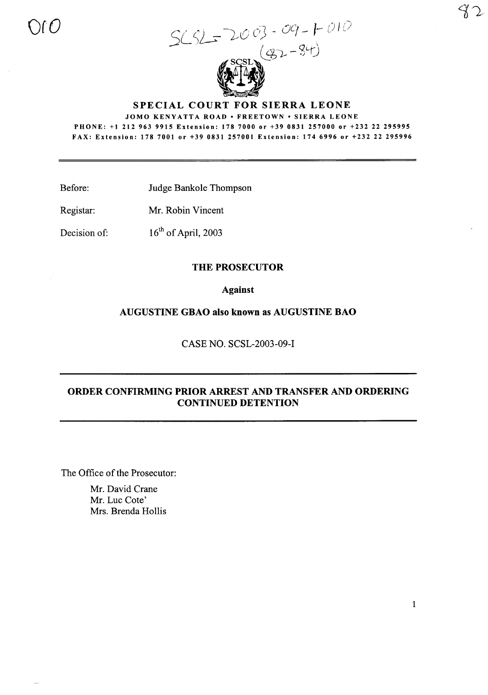$S(SL = 2003 - 09 - 1010$ 

SPECIAL COURT FOR SIERRA LEONE

JOMO KENYATTA ROAD · FREETOWN · SIERRA LEONE

PHONE: +1212963 9915 Extension: 178 7000 or +39 0831 257000 or +232 22 295995 FAX: Extension: 178 7001 or +39 0831257001 Extension: 1746996 or +232 22 295996

Before: Judge Bankole Thompson

Registar: Mr. Robin Vincent

oro

Decision of: 16<sup>th</sup> of April, 2003

#### THE PROSECUTOR

Against

AUGUSTINE GBAO also known as AUGUSTINE BAO

CASE NO. SCSL-2003-09-I

# ORDER CONFIRMING PRIOR ARREST AND TRANSFER AND ORDERING CONTINUED DETENTION

The Office of the Prosecutor:

Mr. David Crane Mr. Luc Cote' Mrs. Brenda Hollis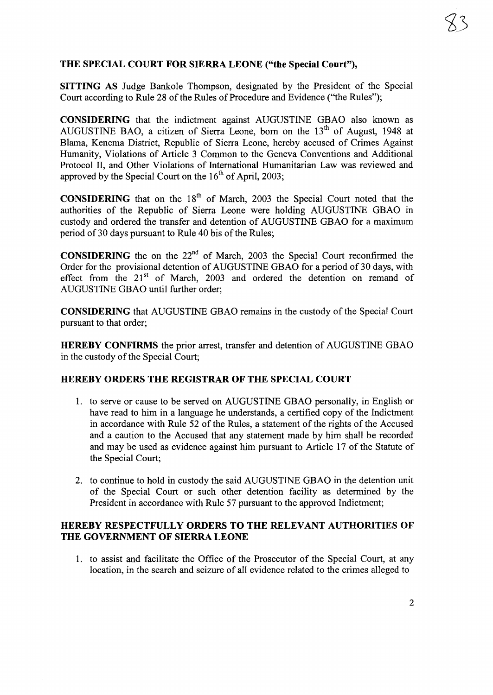## **THE SPECIAL COURT FOR SIERRA LEONE ("the Special Court"),**

**SITTING AS** Judge Bankole Thompson, designated by the President of the Special Court according to Rule 28 of the Rules of Procedure and Evidence ("the Rules");

**CONSIDERING** that the indictment against AUGUSTINE GBAO also known as AUGUSTINE BAO, a citizen of Sierra Leone, born on the  $13<sup>th</sup>$  of August, 1948 at Blama, Kenema District, Republic of Sierra Leone, hereby accused of Crimes Against Humanity, Violations of Article 3 Common to the Geneva Conventions and Additional Protocol II, and Other Violations of International Humanitarian Law was reviewed and approved by the Special Court on the  $16<sup>th</sup>$  of April, 2003;

**CONSIDERING** that on the 18<sup>th</sup> of March, 2003 the Special Court noted that the authorities of the Republic of Sierra Leone were holding AUGUSTINE GBAO in custody and ordered the transfer and detention of AUGUSTINE GBAO for a maximum period of 30 days pursuant to Rule 40 bis of the Rules;

**CONSIDERING** the on the  $22<sup>nd</sup>$  of March, 2003 the Special Court reconfirmed the Order for the provisional detention of AUGUSTINE GBAO for a period of 30 days, with effect from the 21<sup>st</sup> of March, 2003 and ordered the detention on remand of AUGUSTINE GBAO until further order;

**CONSIDERING** that AUGUSTINE GBAO remains in the custody of the Special Court pursuant to that order;

**HEREBY CONFIRMS** the prior arrest, transfer and detention of AUGUSTINE GBAO in the custody of the Special Court;

#### **HEREBY ORDERS THE REGISTRAR OF THE SPECIAL COURT**

- 1. to serve or cause to be served on AUGUSTINE GBAO personally, in English or have read to him in a language he understands, a certified copy of the Indictment in accordance with Rule 52 of the Rules, a statement of the rights of the Accused and a caution to the Accused that any statement made by him shall be recorded and may be used as evidence against him pursuant to Article 17 of the Statute of the Special Court;
- 2. to continue to hold in custody the said AUGUSTINE GBAO in the detention unit of the Special Court or such other detention facility as determined by the President in accordance with Rule 57 pursuant to the approved Indictment;

### **HEREBY RESPECTFULLY ORDERS TO THE RELEVANT AUTHORITIES OF THE GOVERNMENT OF SIERRA LEONE**

1. to assist and facilitate the Office of the Prosecutor of the Special Court, at any location, in the search and seizure of all evidence related to the crimes alleged to